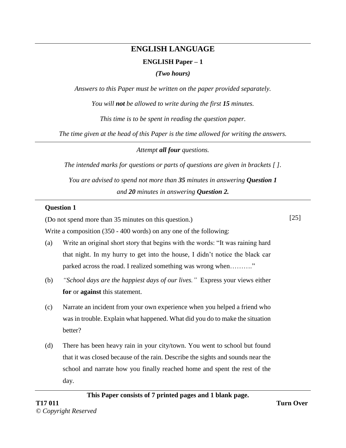# **ENGLISH LANGUAGE ENGLISH Paper – 1**

*(Two hours)*

*Answers to this Paper must be written on the paper provided separately.* 

*You will not be allowed to write during the first 15 minutes.* 

*This time is to be spent in reading the question paper.* 

*The time given at the head of this Paper is the time allowed for writing the answers.*

*Attempt all four questions.*

*The intended marks for questions or parts of questions are given in brackets [ ].* 

*You are advised to spend not more than 35 minutes in answering Question 1 and 20 minutes in answering Question 2.*

## **Question 1**

(Do not spend more than 35 minutes on this question.)

[25]

Write a composition (350 - 400 words) on any one of the following:

- (a) Write an original short story that begins with the words: "It was raining hard that night. In my hurry to get into the house, I didn't notice the black car parked across the road. I realized something was wrong when………."
- (b) *"School days are the happiest days of our lives."* Express your views either **for** or **against** this statement.
- (c) Narrate an incident from your own experience when you helped a friend who was in trouble. Explain what happened. What did you do to make the situation better?
- (d) There has been heavy rain in your city/town. You went to school but found that it was closed because of the rain. Describe the sights and sounds near the school and narrate how you finally reached home and spent the rest of the day.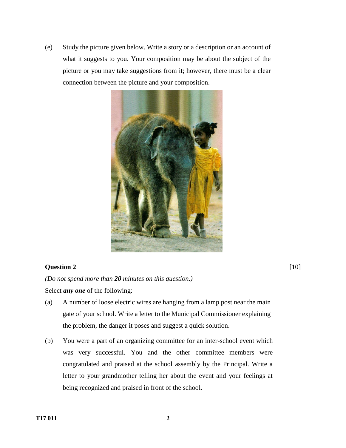(e) Study the picture given below. Write a story or a description or an account of what it suggests to you. Your composition may be about the subject of the picture or you may take suggestions from it; however, there must be a clear connection between the picture and your composition.



### **Question 2**

*(Do not spend more than 20 minutes on this question.)* 

Select *any one* of the following:

- (a) A number of loose electric wires are hanging from a lamp post near the main gate of your school. Write a letter to the Municipal Commissioner explaining the problem, the danger it poses and suggest a quick solution.
- (b) You were a part of an organizing committee for an inter-school event which was very successful. You and the other committee members were congratulated and praised at the school assembly by the Principal. Write a letter to your grandmother telling her about the event and your feelings at being recognized and praised in front of the school.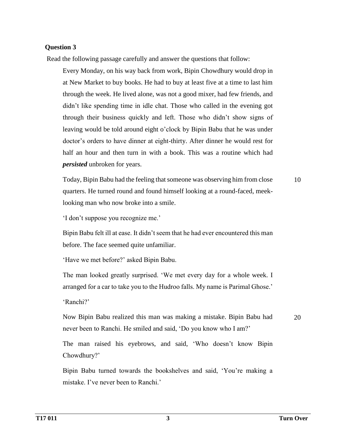#### **Question 3**

Read the following passage carefully and answer the questions that follow:

Every Monday, on his way back from work, Bipin Chowdhury would drop in at New Market to buy books. He had to buy at least five at a time to last him through the week. He lived alone, was not a good mixer, had few friends, and didn't like spending time in idle chat. Those who called in the evening got through their business quickly and left. Those who didn't show signs of leaving would be told around eight o'clock by Bipin Babu that he was under doctor's orders to have dinner at eight-thirty. After dinner he would rest for half an hour and then turn in with a book. This was a routine which had *persisted* unbroken for years.

Today, Bipin Babu had the feeling that someone was observing him from close quarters. He turned round and found himself looking at a round-faced, meeklooking man who now broke into a smile. 10

'I don't suppose you recognize me.'

Bipin Babu felt ill at ease. It didn't seem that he had ever encountered this man before. The face seemed quite unfamiliar.

'Have we met before?' asked Bipin Babu.

The man looked greatly surprised. 'We met every day for a whole week. I arranged for a car to take you to the Hudroo falls. My name is Parimal Ghose.'

'Ranchi?'

Now Bipin Babu realized this man was making a mistake. Bipin Babu had never been to Ranchi. He smiled and said, 'Do you know who I am?'

20

The man raised his eyebrows, and said, 'Who doesn't know Bipin Chowdhury?'

Bipin Babu turned towards the bookshelves and said, 'You're making a mistake. I've never been to Ranchi.'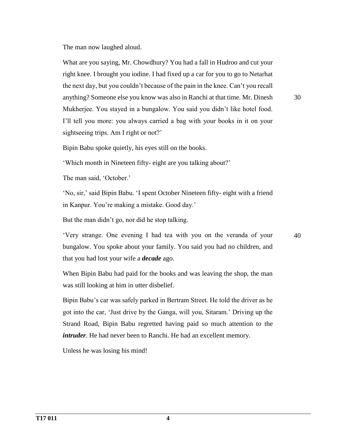The man now laughed aloud.

What are you saying, Mr. Chowdhury? You had a fall in Hudroo and cut your right knee. I brought you iodine. I had fixed up a car for you to go to Netarhat the next day, but you couldn't because of the pain in the knee. Can't you recall anything? Someone else you know was also in Ranchi at that time. Mr. Dinesh Mukherjee. You stayed in a bungalow. You said you didn't like hotel food. I'll tell you more: you always carried a bag with your books in it on your sightseeing trips. Am I right or not?'

30

40

Bipin Babu spoke quietly, his eyes still on the books.

'Which month in Nineteen fifty- eight are you talking about?'

The man said, 'October.'

'No, sir,' said Bipin Babu. 'I spent October Nineteen fifty- eight with a friend in Kanpur. You're making a mistake. Good day.'

But the man didn't go, nor did he stop talking.

'Very strange. One evening I had tea with you on the veranda of your bungalow. You spoke about your family. You said you had no children, and that you had lost your wife a *decade* ago.

When Bipin Babu had paid for the books and was leaving the shop, the man was still looking at him in utter disbelief.

Bipin Babu's car was safely parked in Bertram Street. He told the driver as he got into the car, 'Just drive by the Ganga, will you, Sitaram.' Driving up the Strand Road, Bipin Babu regretted having paid so much attention to the *intruder*. He had never been to Ranchi. He had an excellent memory.

Unless he was losing his mind!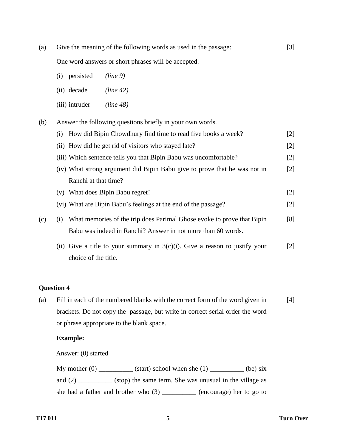(a) Give the meaning of the following words as used in the passage: [3]

One word answers or short phrases will be accepted.

- (i) persisted *(line 9)*
- (ii) decade *(line 42)*
- (iii) intruder *(line 48)*

(b) Answer the following questions briefly in your own words.

(i) How did Bipin Chowdhury find time to read five books a week? [2] (ii) How did he get rid of visitors who stayed late? [2] (iii) Which sentence tells you that Bipin Babu was uncomfortable? [2] (iv) What strong argument did Bipin Babu give to prove that he was not in Ranchi at that time? [2] (v) What does Bipin Babu regret? [2] (vi) What are Bipin Babu's feelings at the end of the passage? [2] (c) (i) What memories of the trip does Parimal Ghose evoke to prove that Bipin Babu was indeed in Ranchi? Answer in not more than 60 words. [8] (ii) Give a title to your summary in  $3(c)(i)$ . Give a reason to justify your [2]

#### **Question 4**

(a) Fill in each of the numbered blanks with the correct form of the word given in brackets. Do not copy the passage, but write in correct serial order the word or phrase appropriate to the blank space. [4]

#### **Example:**

Answer: (0) started

choice of the title.

My mother  $(0)$  \_\_\_\_\_\_\_\_\_\_ (start) school when she  $(1)$  \_\_\_\_\_\_\_\_\_\_ (be) six and (2) \_\_\_\_\_\_\_\_\_\_ (stop) the same term. She was unusual in the village as she had a father and brother who (3) \_\_\_\_\_\_\_\_\_\_ (encourage) her to go to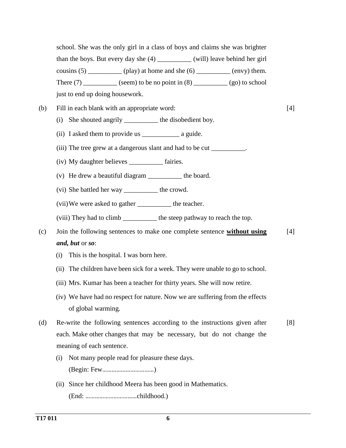school. She was the only girl in a class of boys and claims she was brighter than the boys. But every day she (4) \_\_\_\_\_\_\_\_\_\_ (will) leave behind her girl cousins  $(5)$  \_\_\_\_\_\_\_\_\_\_ (play) at home and she  $(6)$  \_\_\_\_\_\_\_\_\_ (envy) them. There  $(7)$  (seem) to be no point in  $(8)$  (go) to school just to end up doing housework.

- (b) Fill in each blank with an appropriate word: [4]
	- (i) She shouted angrily \_\_\_\_\_\_\_\_\_\_ the disobedient boy.
	- (ii) I asked them to provide us \_\_\_\_\_\_\_\_\_\_\_ a guide.
	- (iii) The tree grew at a dangerous slant and had to be cut \_\_\_\_\_\_\_\_\_\_\_.
	- (iv) My daughter believes \_\_\_\_\_\_\_\_\_\_ fairies.
	- (v) He drew a beautiful diagram \_\_\_\_\_\_\_\_\_\_ the board.
	- (vi) She battled her way \_\_\_\_\_\_\_\_\_\_ the crowd.
	- (vii)We were asked to gather \_\_\_\_\_\_\_\_\_\_ the teacher.
	- (viii) They had to climb \_\_\_\_\_\_\_\_\_\_ the steep pathway to reach the top.
- (c) Join the following sentences to make one complete sentence **without using** *and, but* or *so*: [4]
	- (i) This is the hospital. I was born here.
	- (ii) The children have been sick for a week. They were unable to go to school.
	- (iii) Mrs. Kumar has been a teacher for thirty years. She will now retire.
	- (iv) We have had no respect for nature. Now we are suffering from the effects of global warming.
- (d) Re-write the following sentences according to the instructions given after each. Make other changes that may be necessary, but do not change the meaning of each sentence. [8]
	- (i) Not many people read for pleasure these days. (Begin: Few……………………………)
	- (ii) Since her childhood Meera has been good in Mathematics. (End: ……………………………childhood.)